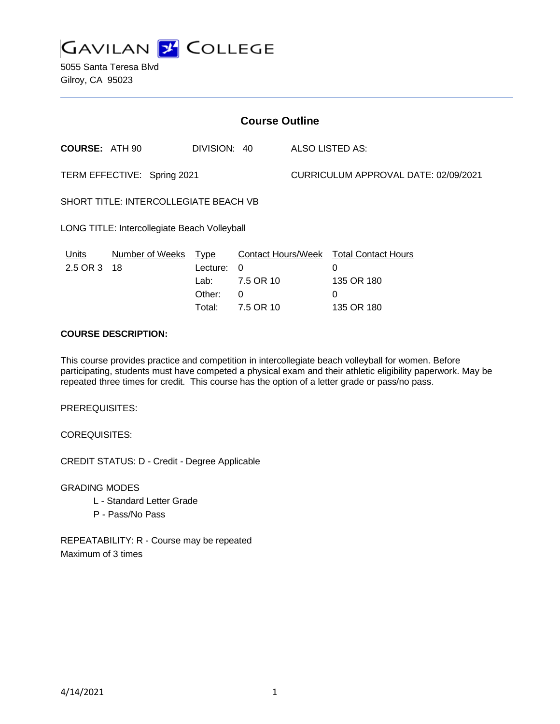

5055 Santa Teresa Blvd Gilroy, CA 95023

| <b>Course Outline</b>                        |                 |              |                           |                                      |                            |
|----------------------------------------------|-----------------|--------------|---------------------------|--------------------------------------|----------------------------|
| <b>COURSE: ATH 90</b>                        |                 | DIVISION: 40 |                           | ALSO LISTED AS:                      |                            |
| TERM EFFECTIVE: Spring 2021                  |                 |              |                           | CURRICULUM APPROVAL DATE: 02/09/2021 |                            |
| SHORT TITLE: INTERCOLLEGIATE BEACH VB        |                 |              |                           |                                      |                            |
| LONG TITLE: Intercollegiate Beach Volleyball |                 |              |                           |                                      |                            |
| Units                                        | Number of Weeks | <b>Type</b>  | <b>Contact Hours/Week</b> |                                      | <b>Total Contact Hours</b> |
| 2.5 OR 3 18                                  |                 | Lecture:     | 0                         |                                      | 0                          |
|                                              |                 | Lab:         | 7.5 OR 10                 |                                      | 135 OR 180                 |
|                                              |                 | Other:       | 0                         |                                      | 0                          |
|                                              |                 | Total:       | 7.5 OR 10                 |                                      | 135 OR 180                 |

## **COURSE DESCRIPTION:**

This course provides practice and competition in intercollegiate beach volleyball for women. Before participating, students must have competed a physical exam and their athletic eligibility paperwork. May be repeated three times for credit. This course has the option of a letter grade or pass/no pass.

PREREQUISITES:

COREQUISITES:

CREDIT STATUS: D - Credit - Degree Applicable

GRADING MODES

- L Standard Letter Grade
- P Pass/No Pass

REPEATABILITY: R - Course may be repeated Maximum of 3 times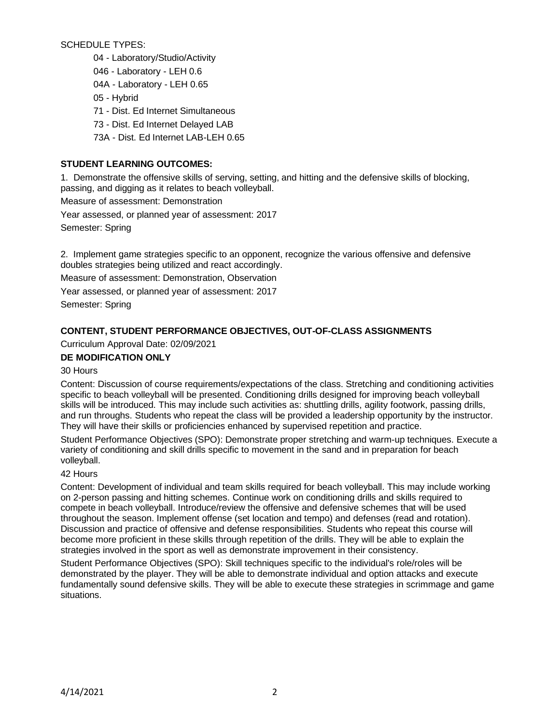SCHEDULE TYPES:

- 04 Laboratory/Studio/Activity
- 046 Laboratory LEH 0.6
- 04A Laboratory LEH 0.65
- 05 Hybrid
- 71 Dist. Ed Internet Simultaneous
- 73 Dist. Ed Internet Delayed LAB
- 73A Dist. Ed Internet LAB-LEH 0.65

## **STUDENT LEARNING OUTCOMES:**

1. Demonstrate the offensive skills of serving, setting, and hitting and the defensive skills of blocking, passing, and digging as it relates to beach volleyball.

Measure of assessment: Demonstration

Year assessed, or planned year of assessment: 2017

Semester: Spring

2. Implement game strategies specific to an opponent, recognize the various offensive and defensive doubles strategies being utilized and react accordingly.

Measure of assessment: Demonstration, Observation

Year assessed, or planned year of assessment: 2017

Semester: Spring

# **CONTENT, STUDENT PERFORMANCE OBJECTIVES, OUT-OF-CLASS ASSIGNMENTS**

Curriculum Approval Date: 02/09/2021

## **DE MODIFICATION ONLY**

## 30 Hours

Content: Discussion of course requirements/expectations of the class. Stretching and conditioning activities specific to beach volleyball will be presented. Conditioning drills designed for improving beach volleyball skills will be introduced. This may include such activities as: shuttling drills, agility footwork, passing drills, and run throughs. Students who repeat the class will be provided a leadership opportunity by the instructor. They will have their skills or proficiencies enhanced by supervised repetition and practice.

Student Performance Objectives (SPO): Demonstrate proper stretching and warm-up techniques. Execute a variety of conditioning and skill drills specific to movement in the sand and in preparation for beach volleyball.

## 42 Hours

Content: Development of individual and team skills required for beach volleyball. This may include working on 2-person passing and hitting schemes. Continue work on conditioning drills and skills required to compete in beach volleyball. Introduce/review the offensive and defensive schemes that will be used throughout the season. Implement offense (set location and tempo) and defenses (read and rotation). Discussion and practice of offensive and defense responsibilities. Students who repeat this course will become more proficient in these skills through repetition of the drills. They will be able to explain the strategies involved in the sport as well as demonstrate improvement in their consistency.

Student Performance Objectives (SPO): Skill techniques specific to the individual's role/roles will be demonstrated by the player. They will be able to demonstrate individual and option attacks and execute fundamentally sound defensive skills. They will be able to execute these strategies in scrimmage and game situations.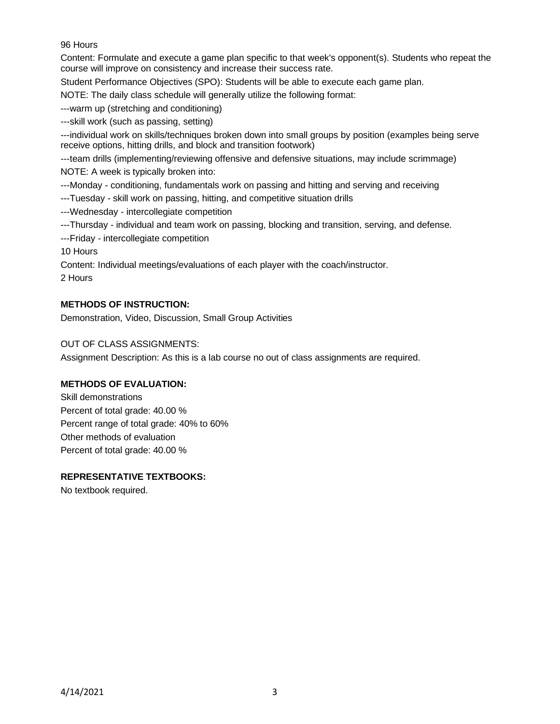## 96 Hours

Content: Formulate and execute a game plan specific to that week's opponent(s). Students who repeat the course will improve on consistency and increase their success rate.

Student Performance Objectives (SPO): Students will be able to execute each game plan.

NOTE: The daily class schedule will generally utilize the following format:

---warm up (stretching and conditioning)

---skill work (such as passing, setting)

---individual work on skills/techniques broken down into small groups by position (examples being serve receive options, hitting drills, and block and transition footwork)

---team drills (implementing/reviewing offensive and defensive situations, may include scrimmage) NOTE: A week is typically broken into:

---Monday - conditioning, fundamentals work on passing and hitting and serving and receiving

---Tuesday - skill work on passing, hitting, and competitive situation drills

---Wednesday - intercollegiate competition

---Thursday - individual and team work on passing, blocking and transition, serving, and defense.

---Friday - intercollegiate competition

10 Hours

Content: Individual meetings/evaluations of each player with the coach/instructor.

2 Hours

### **METHODS OF INSTRUCTION:**

Demonstration, Video, Discussion, Small Group Activities

### OUT OF CLASS ASSIGNMENTS:

Assignment Description: As this is a lab course no out of class assignments are required.

## **METHODS OF EVALUATION:**

Skill demonstrations Percent of total grade: 40.00 % Percent range of total grade: 40% to 60% Other methods of evaluation Percent of total grade: 40.00 %

#### **REPRESENTATIVE TEXTBOOKS:**

No textbook required.